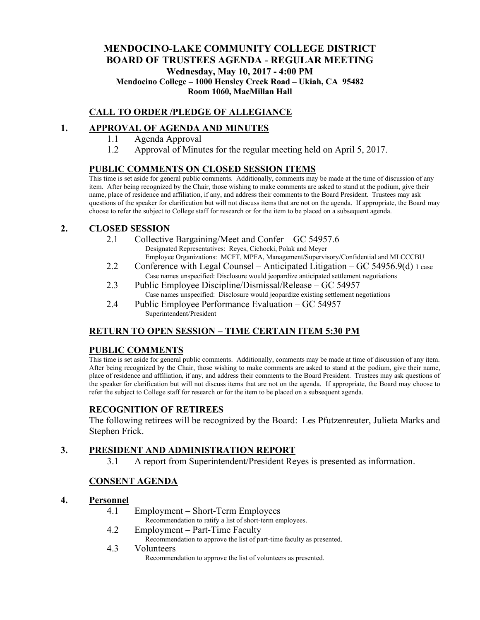# **MENDOCINO-LAKE COMMUNITY COLLEGE DISTRICT BOARD OF TRUSTEES AGENDA** - **REGULAR MEETING Wednesday, May 10, 2017 - 4:00 PM Mendocino College – 1000 Hensley Creek Road – Ukiah, CA 95482 Room 1060, MacMillan Hall**

# **CALL TO ORDER /PLEDGE OF ALLEGIANCE**

## **1. APPROVAL OF AGENDA AND MINUTES**

- 1.1 Agenda Approval
- 1.2 Approval of Minutes for the regular meeting held on April 5, 2017.

## **PUBLIC COMMENTS ON CLOSED SESSION ITEMS**

This time is set aside for general public comments. Additionally, comments may be made at the time of discussion of any item. After being recognized by the Chair, those wishing to make comments are asked to stand at the podium, give their name, place of residence and affiliation, if any, and address their comments to the Board President. Trustees may ask questions of the speaker for clarification but will not discuss items that are not on the agenda. If appropriate, the Board may choose to refer the subject to College staff for research or for the item to be placed on a subsequent agenda.

## **2. CLOSED SESSION**

- 2.1 Collective Bargaining/Meet and Confer GC 54957.6 Designated Representatives: Reyes, Cichocki, Polak and Meyer Employee Organizations: MCFT, MPFA, Management/Supervisory/Confidential and MLCCCBU
- 2.2 Conference with Legal Counsel Anticipated Litigation GC 54956.9(d) 1 case Case names unspecified: Disclosure would jeopardize anticipated settlement negotiations
- 2.3 Public Employee Discipline/Dismissal/Release GC 54957 Case names unspecified: Disclosure would jeopardize existing settlement negotiations
- 2.4 Public Employee Performance Evaluation GC 54957 Superintendent/President

# **RETURN TO OPEN SESSION – TIME CERTAIN ITEM 5:30 PM**

### **PUBLIC COMMENTS**

This time is set aside for general public comments. Additionally, comments may be made at time of discussion of any item. After being recognized by the Chair, those wishing to make comments are asked to stand at the podium, give their name, place of residence and affiliation, if any, and address their comments to the Board President. Trustees may ask questions of the speaker for clarification but will not discuss items that are not on the agenda. If appropriate, the Board may choose to refer the subject to College staff for research or for the item to be placed on a subsequent agenda.

# **RECOGNITION OF RETIREES**

The following retirees will be recognized by the Board: Les Pfutzenreuter, Julieta Marks and Stephen Frick.

# **3. PRESIDENT AND ADMINISTRATION REPORT**

3.1 A report from Superintendent/President Reyes is presented as information.

# **CONSENT AGENDA**

### **4. Personnel**

4.1 Employment – Short-Term Employees

Recommendation to ratify a list of short-term employees.

- 4.2 Employment Part-Time Faculty
	- Recommendation to approve the list of part-time faculty as presented.
- 4.3 Volunteers

Recommendation to approve the list of volunteers as presented.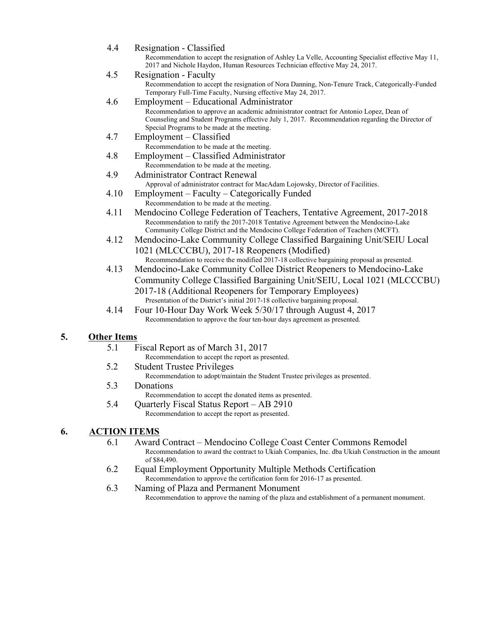| 4.4  | Resignation - Classified                                                                                                                                                                                                                                 |
|------|----------------------------------------------------------------------------------------------------------------------------------------------------------------------------------------------------------------------------------------------------------|
|      | Recommendation to accept the resignation of Ashley La Velle, Accounting Specialist effective May 11,<br>2017 and Nichole Haydon, Human Resources Technician effective May 24, 2017.                                                                      |
| 4.5  | Resignation - Faculty                                                                                                                                                                                                                                    |
|      | Recommendation to accept the resignation of Nora Danning, Non-Tenure Track, Categorically-Funded<br>Temporary Full-Time Faculty, Nursing effective May 24, 2017.                                                                                         |
| 4.6  | Employment – Educational Administrator                                                                                                                                                                                                                   |
|      | Recommendation to approve an academic administrator contract for Antonio Lopez, Dean of<br>Counseling and Student Programs effective July 1, 2017. Recommendation regarding the Director of<br>Special Programs to be made at the meeting.               |
| 4.7  | Employment – Classified                                                                                                                                                                                                                                  |
|      | Recommendation to be made at the meeting.                                                                                                                                                                                                                |
| 4.8  | Employment – Classified Administrator                                                                                                                                                                                                                    |
|      | Recommendation to be made at the meeting.                                                                                                                                                                                                                |
| 4.9  | <b>Administrator Contract Renewal</b>                                                                                                                                                                                                                    |
|      | Approval of administrator contract for MacAdam Lojowsky, Director of Facilities.                                                                                                                                                                         |
| 4.10 | Employment – Faculty – Categorically Funded                                                                                                                                                                                                              |
|      | Recommendation to be made at the meeting.                                                                                                                                                                                                                |
| 4.11 | Mendocino College Federation of Teachers, Tentative Agreement, 2017-2018<br>Recommendation to ratify the 2017-2018 Tentative Agreement between the Mendocino-Lake<br>Community College District and the Mendocino College Federation of Teachers (MCFT). |
| 4.12 | Mendocino-Lake Community College Classified Bargaining Unit/SEIU Local                                                                                                                                                                                   |
|      | 1021 (MLCCCBU), 2017-18 Reopeners (Modified)<br>Recommendation to receive the modified 2017-18 collective bargaining proposal as presented.                                                                                                              |
| 4.13 | Mendocino-Lake Community Collee District Reopeners to Mendocino-Lake                                                                                                                                                                                     |
|      | Community College Classified Bargaining Unit/SEIU, Local 1021 (MLCCCBU)                                                                                                                                                                                  |
|      | 2017-18 (Additional Reopeners for Temporary Employees)                                                                                                                                                                                                   |
|      | Presentation of the District's initial 2017-18 collective bargaining proposal.                                                                                                                                                                           |
| 4.14 | Four 10-Hour Day Work Week 5/30/17 through August 4, 2017                                                                                                                                                                                                |
|      | Recommendation to approve the four ten-hour days agreement as presented.                                                                                                                                                                                 |
|      |                                                                                                                                                                                                                                                          |

# **5. Other Items**

- 5.1 Fiscal Report as of March 31, 2017
	- Recommendation to accept the report as presented.
- 5.2 Student Trustee Privileges Recommendation to adopt/maintain the Student Trustee privileges as presented.
- 5.3 Donations Recommendation to accept the donated items as presented.
- 5.4 Quarterly Fiscal Status Report AB 2910 Recommendation to accept the report as presented.

## **6. ACTION ITEMS**

- 6.1 Award Contract Mendocino College Coast Center Commons Remodel Recommendation to award the contract to Ukiah Companies, Inc. dba Ukiah Construction in the amount of \$84,490.
- 6.2 Equal Employment Opportunity Multiple Methods Certification Recommendation to approve the certification form for 2016-17 as presented.
- 6.3 Naming of Plaza and Permanent Monument Recommendation to approve the naming of the plaza and establishment of a permanent monument.